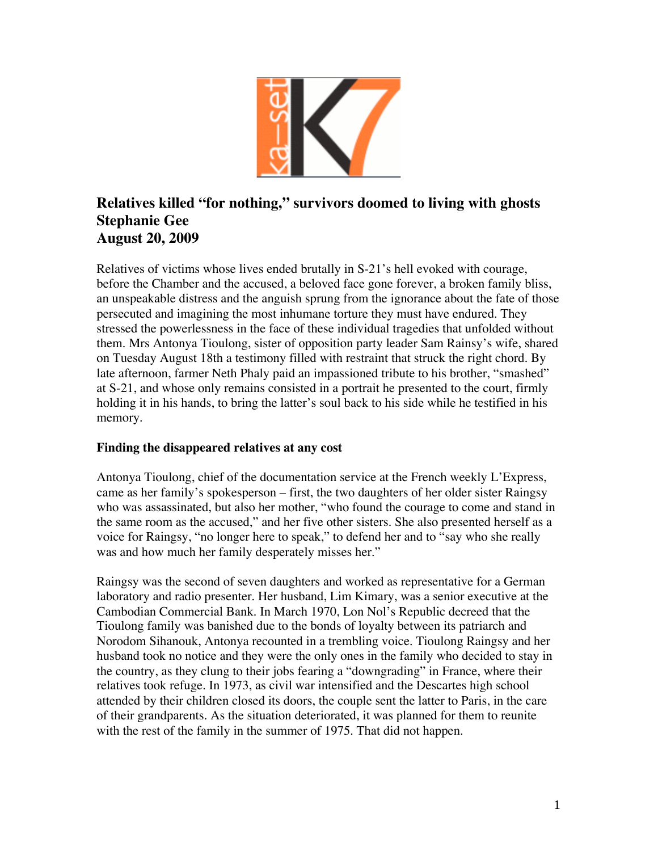

# **Relatives killed "for nothing, " survivors doomed to living with ghosts Stephanie Gee August 20, 2009**

Relatives of victims whose lives ended brutally in S-21's hell evoked with courage, before the Chamber and the accused, a beloved face gone forever, a broken family bliss, an unspeakable distress and the anguish sprung from the ignorance about the fate of those persecuted and imagining the most inhumane torture they must have endured. They stressed the powerlessness in the face of these individual tragedies that unfolded without them. Mrs Antonya Tioulong, sister of opposition party leader Sam Rainsy's wife, shared on Tuesday August 18th a testimony filled with restraint that struck the right chord. By late afternoon, farmer Neth Phaly paid an impassioned tribute to his brother, "smashed" at S-21, and whose only remains consisted in a portrait he presented to the court, firmly holding it in his hands, to bring the latter's soul back to his side while he testified in his memory.

## **Finding the disappeared relatives at any cost**

Antonya Tioulong, chief of the documentation service at the French weekly L'Express, came as her family's spokesperson – first, the two daughters of her older sister Raingsy who was assassinated, but also her mother, "who found the courage to come and stand in the same room as the accused," and her five other sisters. She also presented herself as a voice for Raingsy, "no longer here to speak," to defend her and to "say who she really was and how much her family desperately misses her."

Raingsy was the second of seven daughters and worked as representative for a German laboratory and radio presenter. Her husband, Lim Kimary, was a senior executive at the Cambodian Commercial Bank. In March 1970, Lon Nol's Republic decreed that the Tioulong family was banished due to the bonds of loyalty between its patriarch and Norodom Sihanouk, Antonya recounted in a trembling voice. Tioulong Raingsy and her husband took no notice and they were the only ones in the family who decided to stay in the country, as they clung to their jobs fearing a "downgrading" in France, where their relatives took refuge. In 1973, as civil war intensified and the Descartes high school attended by their children closed its doors, the couple sent the latter to Paris, in the care of their grandparents. As the situation deteriorated, it was planned for them to reunite with the rest of the family in the summer of 1975. That did not happen.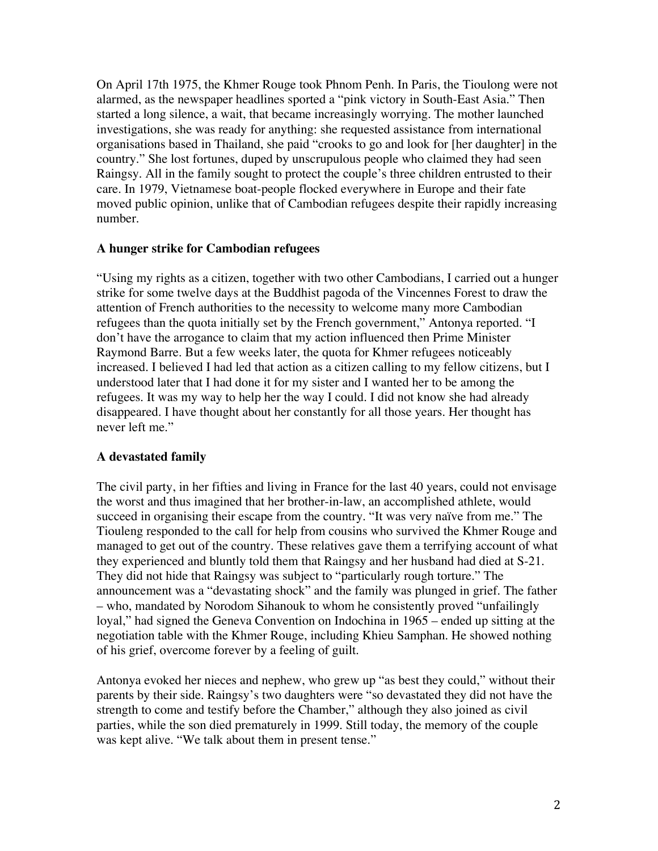On April 17th 1975, the Khmer Rouge took Phnom Penh. In Paris, the Tioulong were not alarmed, as the newspaper headlines sported a "pink victory in South-East Asia." Then started a long silence, a wait, that became increasingly worrying. The mother launched investigations, she was ready for anything: she requested assistance from international organisations based in Thailand, she paid "crooks to go and look for [her daughter] in the country." She lost fortunes, duped by unscrupulous people who claimed they had seen Raingsy. All in the family sought to protect the couple's three children entrusted to their care. In 1979, Vietnamese boat-people flocked everywhere in Europe and their fate moved public opinion, unlike that of Cambodian refugees despite their rapidly increasing number.

### **A hunger strike for Cambodian refugees**

"Using my rights as a citizen, together with two other Cambodians, I carried out a hunger strike for some twelve days at the Buddhist pagoda of the Vincennes Forest to draw the attention of French authorities to the necessity to welcome many more Cambodian refugees than the quota initially set by the French government," Antonya reported. "I don't have the arrogance to claim that my action influenced then Prime Minister Raymond Barre. But a few weeks later, the quota for Khmer refugees noticeably increased. I believed I had led that action as a citizen calling to my fellow citizens, but I understood later that I had done it for my sister and I wanted her to be among the refugees. It was my way to help her the way I could. I did not know she had already disappeared. I have thought about her constantly for all those years. Her thought has never left me."

## **A devastated family**

The civil party, in her fifties and living in France for the last 40 years, could not envisage the worst and thus imagined that her brother-in-law, an accomplished athlete, would succeed in organising their escape from the country. "It was very naïve from me." The Tiouleng responded to the call for help from cousins who survived the Khmer Rouge and managed to get out of the country. These relatives gave them a terrifying account of what they experienced and bluntly told them that Raingsy and her husband had died at S-21. They did not hide that Raingsy was subject to "particularly rough torture." The announcement was a "devastating shock" and the family was plunged in grief. The father – who, mandated by Norodom Sihanouk to whom he consistently proved "unfailingly loyal," had signed the Geneva Convention on Indochina in 1965 – ended up sitting at the negotiation table with the Khmer Rouge, including Khieu Samphan. He showed nothing of his grief, overcome forever by a feeling of guilt.

Antonya evoked her nieces and nephew, who grew up "as best they could," without their parents by their side. Raingsy's two daughters were "so devastated they did not have the strength to come and testify before the Chamber," although they also joined as civil parties, while the son died prematurely in 1999. Still today, the memory of the couple was kept alive. "We talk about them in present tense."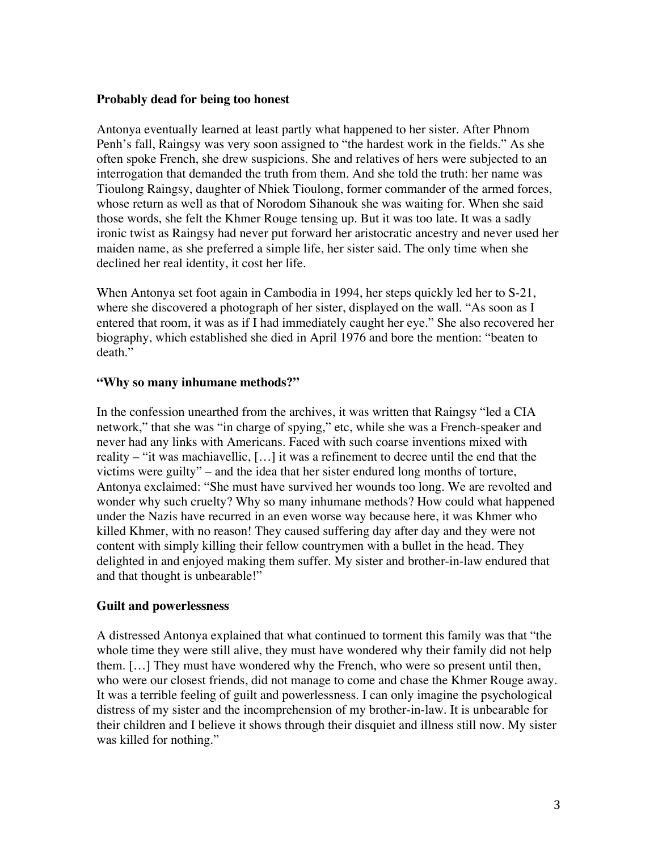### **Probably dead for being too honest**

Antonya eventually learned at least partly what happened to her sister. After Phnom Penh's fall, Raingsy was very soon assigned to "the hardest work in the fields." As she often spoke French, she drew suspicions. She and relatives of hers were subjected to an interrogation that demanded the truth from them. And she told the truth: her name was Tioulong Raingsy, daughter of Nhiek Tioulong, former commander of the armed forces, whose return as well as that of Norodom Sihanouk she was waiting for. When she said those words, she felt the Khmer Rouge tensing up. But it was too late. It was a sadly ironic twist as Raingsy had never put forward her aristocratic ancestry and never used her maiden name, as she preferred a simple life, her sister said. The only time when she declined her real identity, it cost her life.

When Antonya set foot again in Cambodia in 1994, her steps quickly led her to S-21, where she discovered a photograph of her sister, displayed on the wall. "As soon as I entered that room, it was as if I had immediately caught her eye." She also recovered her biography, which established she died in April 1976 and bore the mention: "beaten to death."

#### **"Why so many inhumane methods?"**

In the confession unearthed from the archives, it was written that Raingsy "led a CIA network," that she was "in charge of spying," etc, while she was a French-speaker and never had any links with Americans. Faced with such coarse inventions mixed with reality – "it was machiavellic, […] it was a refinement to decree until the end that the victims were guilty" – and the idea that her sister endured long months of torture, Antonya exclaimed: "She must have survived her wounds too long. We are revolted and wonder why such cruelty? Why so many inhumane methods? How could what happened under the Nazis have recurred in an even worse way because here, it was Khmer who killed Khmer, with no reason! They caused suffering day after day and they were not content with simply killing their fellow countrymen with a bullet in the head. They delighted in and enjoyed making them suffer. My sister and brother-in-law endured that and that thought is unbearable!"

#### **Guilt and powerlessness**

A distressed Antonya explained that what continued to torment this family was that "the whole time they were still alive, they must have wondered why their family did not help them. […] They must have wondered why the French, who were so present until then, who were our closest friends, did not manage to come and chase the Khmer Rouge away. It was a terrible feeling of guilt and powerlessness. I can only imagine the psychological distress of my sister and the incomprehension of my brother-in-law. It is unbearable for their children and I believe it shows through their disquiet and illness still now. My sister was killed for nothing."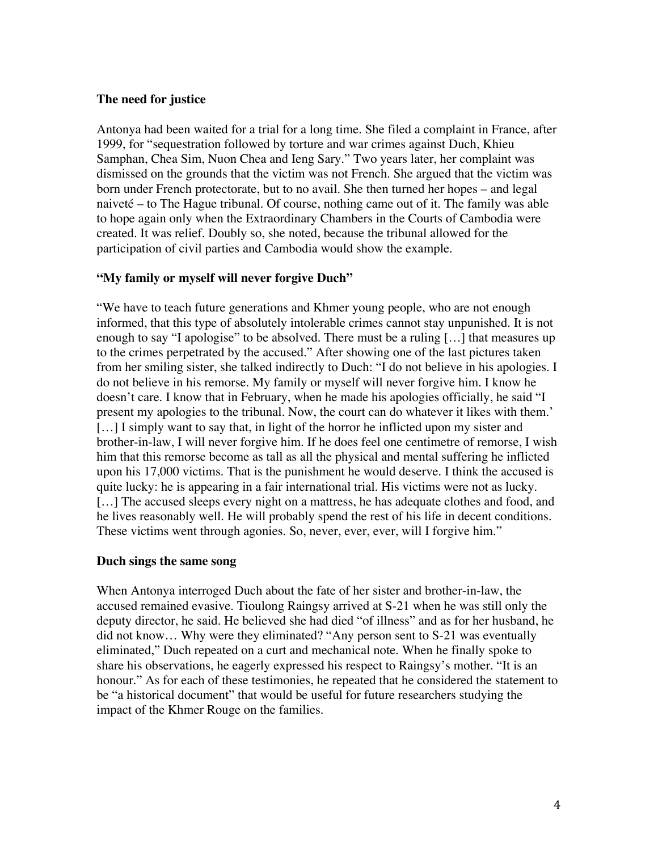### **The need for justice**

Antonya had been waited for a trial for a long time. She filed a complaint in France, after 1999, for "sequestration followed by torture and war crimes against Duch, Khieu Samphan, Chea Sim, Nuon Chea and Ieng Sary." Two years later, her complaint was dismissed on the grounds that the victim was not French. She argued that the victim was born under French protectorate, but to no avail. She then turned her hopes – and legal naiveté – to The Hague tribunal. Of course, nothing came out of it. The family was able to hope again only when the Extraordinary Chambers in the Courts of Cambodia were created. It was relief. Doubly so, she noted, because the tribunal allowed for the participation of civil parties and Cambodia would show the example.

## **"My family or myself will never forgive Duch"**

"We have to teach future generations and Khmer young people, who are not enough informed, that this type of absolutely intolerable crimes cannot stay unpunished. It is not enough to say "I apologise" to be absolved. There must be a ruling [...] that measures up to the crimes perpetrated by the accused." After showing one of the last pictures taken from her smiling sister, she talked indirectly to Duch: "I do not believe in his apologies. I do not believe in his remorse. My family or myself will never forgive him. I know he doesn't care. I know that in February, when he made his apologies officially, he said "I present my apologies to the tribunal. Now, the court can do whatever it likes with them.' [...] I simply want to say that, in light of the horror he inflicted upon my sister and brother-in-law, I will never forgive him. If he does feel one centimetre of remorse, I wish him that this remorse become as tall as all the physical and mental suffering he inflicted upon his 17,000 victims. That is the punishment he would deserve. I think the accused is quite lucky: he is appearing in a fair international trial. His victims were not as lucky. [...] The accused sleeps every night on a mattress, he has adequate clothes and food, and he lives reasonably well. He will probably spend the rest of his life in decent conditions. These victims went through agonies. So, never, ever, ever, will I forgive him."

### **Duch sings the same song**

When Antonya interroged Duch about the fate of her sister and brother-in-law, the accused remained evasive. Tioulong Raingsy arrived at S-21 when he was still only the deputy director, he said. He believed she had died "of illness" and as for her husband, he did not know… Why were they eliminated? "Any person sent to S-21 was eventually eliminated," Duch repeated on a curt and mechanical note. When he finally spoke to share his observations, he eagerly expressed his respect to Raingsy's mother. "It is an honour." As for each of these testimonies, he repeated that he considered the statement to be "a historical document" that would be useful for future researchers studying the impact of the Khmer Rouge on the families.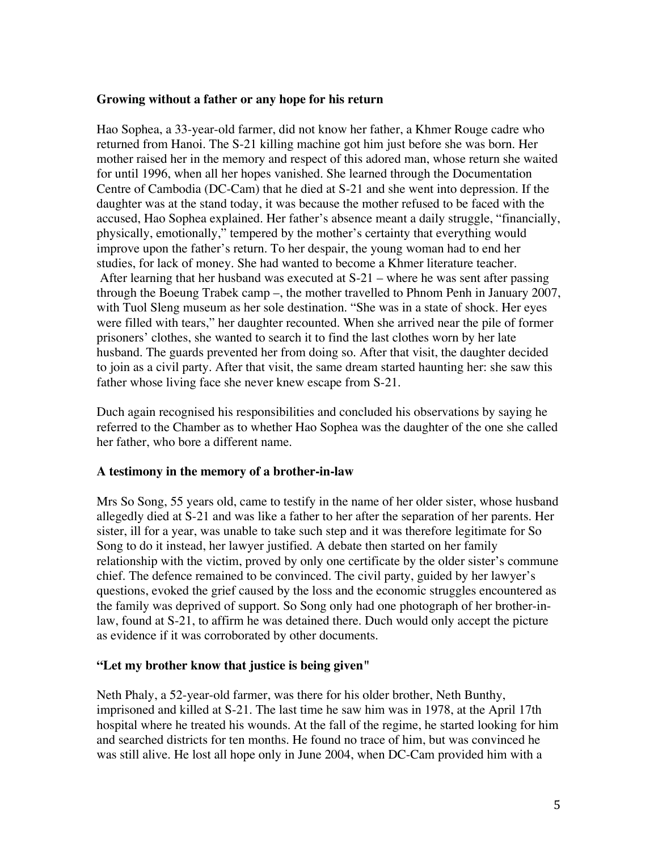### **Growing without a father or any hope for his return**

Hao Sophea, a 33-year-old farmer, did not know her father, a Khmer Rouge cadre who returned from Hanoi. The S-21 killing machine got him just before she was born. Her mother raised her in the memory and respect of this adored man, whose return she waited for until 1996, when all her hopes vanished. She learned through the Documentation Centre of Cambodia (DC-Cam) that he died at S-21 and she went into depression. If the daughter was at the stand today, it was because the mother refused to be faced with the accused, Hao Sophea explained. Her father's absence meant a daily struggle, "financially, physically, emotionally," tempered by the mother's certainty that everything would improve upon the father's return. To her despair, the young woman had to end her studies, for lack of money. She had wanted to become a Khmer literature teacher. After learning that her husband was executed at S-21 – where he was sent after passing through the Boeung Trabek camp –, the mother travelled to Phnom Penh in January 2007, with Tuol Sleng museum as her sole destination. "She was in a state of shock. Her eyes were filled with tears," her daughter recounted. When she arrived near the pile of former prisoners' clothes, she wanted to search it to find the last clothes worn by her late husband. The guards prevented her from doing so. After that visit, the daughter decided to join as a civil party. After that visit, the same dream started haunting her: she saw this father whose living face she never knew escape from S-21.

Duch again recognised his responsibilities and concluded his observations by saying he referred to the Chamber as to whether Hao Sophea was the daughter of the one she called her father, who bore a different name.

### **A testimony in the memory of a brother-in-law**

Mrs So Song, 55 years old, came to testify in the name of her older sister, whose husband allegedly died at S-21 and was like a father to her after the separation of her parents. Her sister, ill for a year, was unable to take such step and it was therefore legitimate for So Song to do it instead, her lawyer justified. A debate then started on her family relationship with the victim, proved by only one certificate by the older sister's commune chief. The defence remained to be convinced. The civil party, guided by her lawyer's questions, evoked the grief caused by the loss and the economic struggles encountered as the family was deprived of support. So Song only had one photograph of her brother-inlaw, found at S-21, to affirm he was detained there. Duch would only accept the picture as evidence if it was corroborated by other documents.

### **"Let my brother know that justice is being given"**

Neth Phaly, a 52-year-old farmer, was there for his older brother, Neth Bunthy, imprisoned and killed at S-21. The last time he saw him was in 1978, at the April 17th hospital where he treated his wounds. At the fall of the regime, he started looking for him and searched districts for ten months. He found no trace of him, but was convinced he was still alive. He lost all hope only in June 2004, when DC-Cam provided him with a